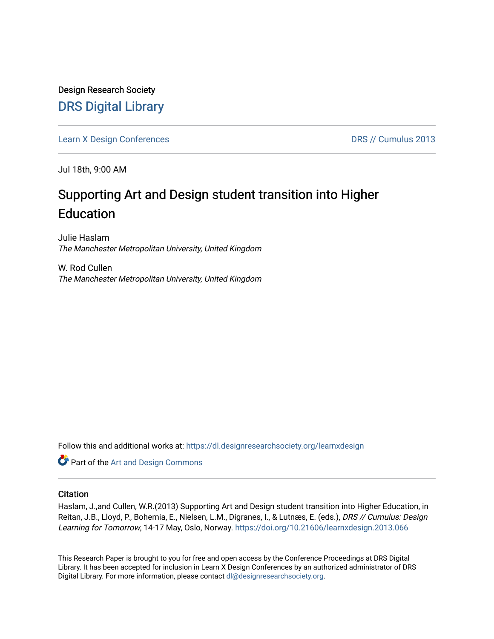Design Research Society [DRS Digital Library](https://dl.designresearchsociety.org/)

[Learn X Design Conferences](https://dl.designresearchsociety.org/learnxdesign) **DRS // Cumulus 2013** 

Jul 18th, 9:00 AM

# Supporting Art and Design student transition into Higher **Education**

Julie Haslam The Manchester Metropolitan University, United Kingdom

W. Rod Cullen The Manchester Metropolitan University, United Kingdom

Follow this and additional works at: [https://dl.designresearchsociety.org/learnxdesign](https://dl.designresearchsociety.org/learnxdesign?utm_source=dl.designresearchsociety.org%2Flearnxdesign%2Flearnxdesign2013%2Fresearchpapers%2F65&utm_medium=PDF&utm_campaign=PDFCoverPages)

**Part of the [Art and Design Commons](http://network.bepress.com/hgg/discipline/1049?utm_source=dl.designresearchsociety.org%2Flearnxdesign%2Flearnxdesign2013%2Fresearchpapers%2F65&utm_medium=PDF&utm_campaign=PDFCoverPages)** 

### **Citation**

Haslam, J.,and Cullen, W.R.(2013) Supporting Art and Design student transition into Higher Education, in Reitan, J.B., Lloyd, P., Bohemia, E., Nielsen, L.M., Digranes, I., & Lutnæs, E. (eds.), DRS // Cumulus: Design Learning for Tomorrow, 14-17 May, Oslo, Norway. <https://doi.org/10.21606/learnxdesign.2013.066>

This Research Paper is brought to you for free and open access by the Conference Proceedings at DRS Digital Library. It has been accepted for inclusion in Learn X Design Conferences by an authorized administrator of DRS Digital Library. For more information, please contact [dl@designresearchsociety.org](mailto:dl@designresearchsociety.org).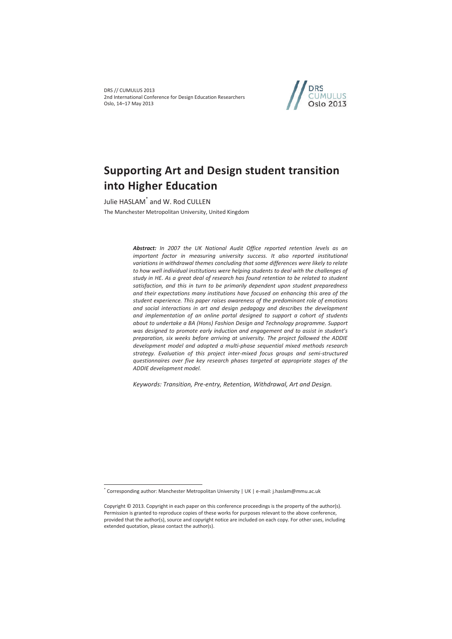DRS // CUMULUS 2013 2nd International Conference for Design Education Researchers Oslo, 14–17 May 2013



# **Supporting Art and Design student transition into Higher Education**

Julie HASLAM\* and W. Rod CULLEN The Manchester Metropolitan University, United Kingdom

> *Abstract: In 2007 the UK National Audit Office reported retention levels as an*  important factor in measuring university success. It also reported institutional *variations in withdrawal themes concluding that some differences were likely to relate to how well individual institutions were helping students to deal with the challenges of study in HE. As a great deal of research has found retention to be related to student satisfaction, and this in turn to be primarily dependent upon student preparedness and their expectations many institutions have focused on enhancing this area of the student experience. This paper raises awareness of the predominant role of emotions and social interactions in art and design pedagogy and describes the development and implementation of an online portal designed to support a cohort of students about to undertake a BA (Hons) Fashion Design and Technology programme. Support was designed to promote early induction and engagement and to assist in student's preparation, six weeks before arriving at university. The project followed the ADDIE development model and adopted a multi-phase sequential mixed methods research strategy. Evaluation of this project inter-mixed focus groups and semi-structured questionnaires over five key research phases targeted at appropriate stages of the ADDIE development model.*

*Keywords: Transition, Pre-entry, Retention, Withdrawal, Art and Design.* 

 $\overline{a}$ 

<sup>\*</sup> Corresponding author: Manchester Metropolitan University | UK | e-mail: j.haslam@mmu.ac.uk

Copyright © 2013. Copyright in each paper on this conference proceedings is the property of the author(s). Permission is granted to reproduce copies of these works for purposes relevant to the above conference, provided that the author(s), source and copyright notice are included on each copy. For other uses, including extended quotation, please contact the author(s).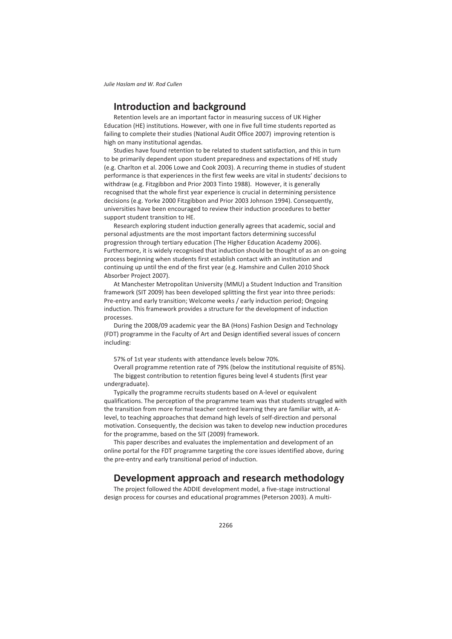# **Introduction and background**

Retention levels are an important factor in measuring success of UK Higher Education (HE) institutions. However, with one in five full time students reported as failing to complete their studies (National Audit Office 2007) improving retention is high on many institutional agendas.

Studies have found retention to be related to student satisfaction, and this in turn to be primarily dependent upon student preparedness and expectations of HE study (e.g. Charlton et al. 2006 Lowe and Cook 2003). A recurring theme in studies of student performance is that experiences in the first few weeks are vital in students' decisions to withdraw (e.g. Fitzgibbon and Prior 2003 Tinto 1988). However, it is generally recognised that the whole first year experience is crucial in determining persistence decisions (e.g. Yorke 2000 Fitzgibbon and Prior 2003 Johnson 1994). Consequently, universities have been encouraged to review their induction procedures to better support student transition to HE.

Research exploring student induction generally agrees that academic, social and personal adjustments are the most important factors determining successful progression through tertiary education (The Higher Education Academy 2006). Furthermore, it is widely recognised that induction should be thought of as an on-going process beginning when students first establish contact with an institution and continuing up until the end of the first year (e.g. Hamshire and Cullen 2010 Shock Absorber Project 2007).

At Manchester Metropolitan University (MMU) a Student Induction and Transition framework (SIT 2009) has been developed splitting the first year into three periods: Pre-entry and early transition; Welcome weeks / early induction period; Ongoing induction. This framework provides a structure for the development of induction processes.

During the 2008/09 academic year the BA (Hons) Fashion Design and Technology (FDT) programme in the Faculty of Art and Design identified several issues of concern including:

57% of 1st year students with attendance levels below 70%.

Overall programme retention rate of 79% (below the institutional requisite of 85%).

The biggest contribution to retention figures being level 4 students (first year undergraduate).

Typically the programme recruits students based on A-level or equivalent qualifications. The perception of the programme team was that students struggled with the transition from more formal teacher centred learning they are familiar with, at Alevel, to teaching approaches that demand high levels of self-direction and personal motivation. Consequently, the decision was taken to develop new induction procedures for the programme, based on the SIT (2009) framework.

This paper describes and evaluates the implementation and development of an online portal for the FDT programme targeting the core issues identified above, during the pre-entry and early transitional period of induction.

# **Development approach and research methodology**

The project followed the ADDIE development model, a five-stage instructional design process for courses and educational programmes (Peterson 2003). A multi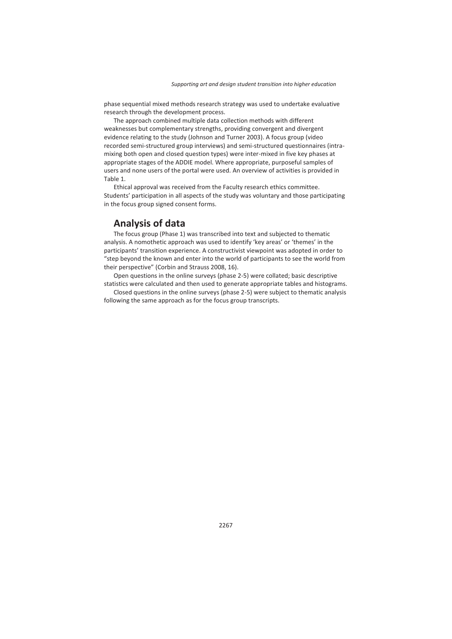phase sequential mixed methods research strategy was used to undertake evaluative research through the development process.

The approach combined multiple data collection methods with different weaknesses but complementary strengths, providing convergent and divergent evidence relating to the study (Johnson and Turner 2003). A focus group (video recorded semi-structured group interviews) and semi-structured questionnaires (intramixing both open and closed question types) were inter-mixed in five key phases at appropriate stages of the ADDIE model. Where appropriate, purposeful samples of users and none users of the portal were used. An overview of activities is provided in Table 1.

Ethical approval was received from the Faculty research ethics committee. Students' participation in all aspects of the study was voluntary and those participating in the focus group signed consent forms.

# **Analysis of data**

The focus group (Phase 1) was transcribed into text and subjected to thematic analysis. A nomothetic approach was used to identify 'key areas' or 'themes' in the participants' transition experience. A constructivist viewpoint was adopted in order to "step beyond the known and enter into the world of participants to see the world from their perspective" (Corbin and Strauss 2008, 16).

Open questions in the online surveys (phase 2-5) were collated; basic descriptive statistics were calculated and then used to generate appropriate tables and histograms.

Closed questions in the online surveys (phase 2-5) were subject to thematic analysis following the same approach as for the focus group transcripts.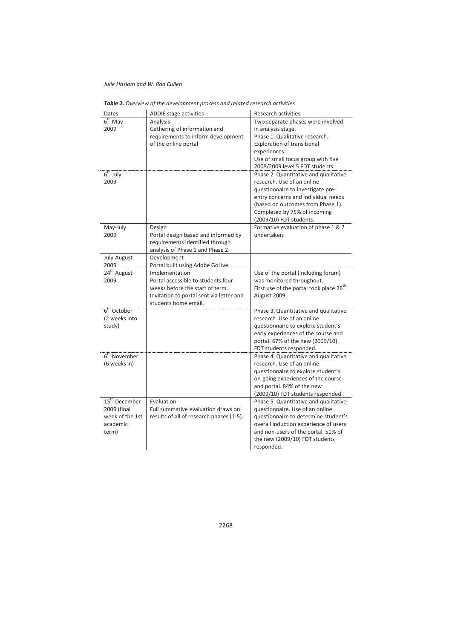*Julie Haslam and W. Rod Cullen* 

| Dates                     | ADDIE stage activities                   | <b>Research activities</b>                          |  |  |
|---------------------------|------------------------------------------|-----------------------------------------------------|--|--|
| 6 <sup>th</sup> May       | Analysis                                 | Two separate phases were involved                   |  |  |
| 2009                      | Gathering of information and             | in analysis stage.                                  |  |  |
|                           | requirements to inform development       | Phase 1. Qualitative research.                      |  |  |
|                           | of the online portal                     | <b>Exploration of transitional</b>                  |  |  |
|                           |                                          | experiences.                                        |  |  |
|                           |                                          | Use of small focus group with five                  |  |  |
|                           |                                          | 2008/2009 level 5 FDT students.                     |  |  |
| $6th$ July                |                                          | Phase 2. Quantitative and qualitative               |  |  |
| 2009                      |                                          | research. Use of an online                          |  |  |
|                           |                                          | questionnaire to investigate pre-                   |  |  |
|                           |                                          | entry concerns and individual needs                 |  |  |
|                           |                                          | (based on outcomes from Phase 1).                   |  |  |
|                           |                                          | Completed by 75% of incoming                        |  |  |
|                           |                                          | (2009/10) FDT students.                             |  |  |
| May-July                  | Design                                   | Formative evaluation of phase 1 & 2                 |  |  |
| 2009                      | Portal design based and informed by      | undertaken.                                         |  |  |
|                           | requirements identified through          |                                                     |  |  |
|                           | analysis of Phase 1 and Phase 2.         |                                                     |  |  |
| July-August               | Development                              |                                                     |  |  |
| 2009                      | Portal built using Adobe GoLive.         |                                                     |  |  |
| 24 <sup>th</sup> August   | Implementation                           | Use of the portal (including forum)                 |  |  |
| 2009                      | Portal accessible to students four       | was monitored throughout.                           |  |  |
|                           | weeks before the start of term.          | First use of the portal took place 26 <sup>th</sup> |  |  |
|                           | Invitation to portal sent via letter and | August 2009.                                        |  |  |
|                           | students home email.                     |                                                     |  |  |
| $6th$ October             |                                          | Phase 3. Quantitative and qualitative               |  |  |
| (2 weeks into             |                                          | research. Use of an online                          |  |  |
| study)                    |                                          | questionnaire to explore student's                  |  |  |
|                           |                                          | early experiences of the course and                 |  |  |
|                           |                                          | portal. 67% of the new (2009/10)                    |  |  |
|                           |                                          | FDT students responded.                             |  |  |
| $6th$ November            |                                          | Phase 4. Quantitative and qualitative               |  |  |
| (6 weeks in)              |                                          | research. Use of an online                          |  |  |
|                           |                                          | questionnaire to explore student's                  |  |  |
|                           |                                          | on-going experiences of the course                  |  |  |
|                           |                                          | and portal. 84% of the new                          |  |  |
|                           |                                          | (2009/10) FDT students responded.                   |  |  |
| 15 <sup>th</sup> December | Evaluation                               | Phase 5. Quantitative and qualitative               |  |  |
| 2009 (final               | Full summative evaluation draws on       | questionnaire. Use of an online                     |  |  |
| week of the 1st           | results of all of research phases (1-5). | questionnaire to determine student's                |  |  |
| academic                  |                                          | overall induction experience of users               |  |  |
| term)                     |                                          | and non-users of the portal. 51% of                 |  |  |
|                           |                                          | the new (2009/10) FDT students                      |  |  |
|                           |                                          | responded.                                          |  |  |

*Table 2. Overview of the development process and related research activities*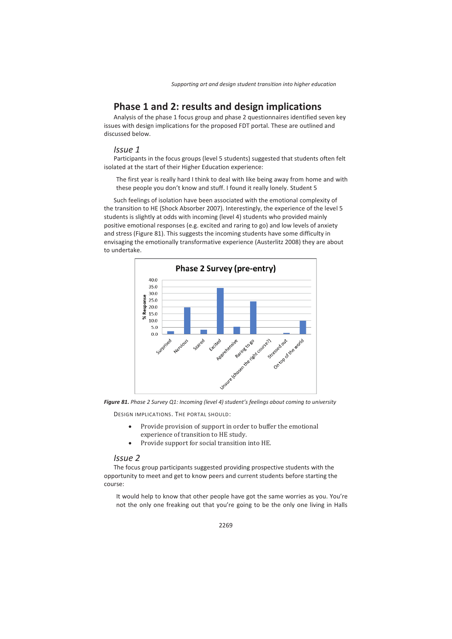# **Phase 1 and 2: results and design implications**

Analysis of the phase 1 focus group and phase 2 questionnaires identified seven key issues with design implications for the proposed FDT portal. These are outlined and discussed below.

### *Issue 1*

Participants in the focus groups (level 5 students) suggested that students often felt isolated at the start of their Higher Education experience:

The first year is really hard I think to deal with like being away from home and with these people you don't know and stuff. I found it really lonely. Student 5

Such feelings of isolation have been associated with the emotional complexity of the transition to HE (Shock Absorber 2007). Interestingly, the experience of the level 5 students is slightly at odds with incoming (level 4) students who provided mainly positive emotional responses (e.g. excited and raring to go) and low levels of anxiety and stress (Figure 81). This suggests the incoming students have some difficulty in envisaging the emotionally transformative experience (Austerlitz 2008) they are about to undertake.



*Figure 81. Phase 2 Survey Q1: Incoming (level 4) student's feelings about coming to university* 

DESIGN IMPLICATIONS. THE PORTAL SHOULD:

- Provide provision of support in order to buffer the emotional experience of transition to HE study.
- Provide support for social transition into HE.

### *Issue 2*

The focus group participants suggested providing prospective students with the opportunity to meet and get to know peers and current students before starting the course:

It would help to know that other people have got the same worries as you. You're not the only one freaking out that you're going to be the only one living in Halls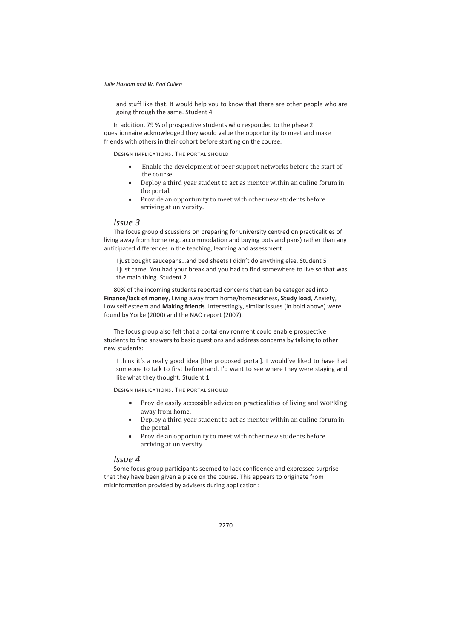and stuff like that. It would help you to know that there are other people who are going through the same. Student 4

In addition, 79 % of prospective students who responded to the phase 2 questionnaire acknowledged they would value the opportunity to meet and make friends with others in their cohort before starting on the course.

DESIGN IMPLICATIONS. THE PORTAL SHOULD:

- **Enable the development of peer support networks before the start of** the course.
- Deploy a third year student to act as mentor within an online forum in the portal.
- Provide an opportunity to meet with other new students before arriving at university.

### *Issue 3*

The focus group discussions on preparing for university centred on practicalities of living away from home (e.g. accommodation and buying pots and pans) rather than any anticipated differences in the teaching, learning and assessment:

I just bought saucepans…and bed sheets I didn't do anything else. Student 5 I just came. You had your break and you had to find somewhere to live so that was the main thing. Student 2

80% of the incoming students reported concerns that can be categorized into **Finance/lack of money**, Living away from home/homesickness, **Study load**, Anxiety, Low self esteem and **Making friends**. Interestingly, similar issues (in bold above) were found by Yorke (2000) and the NAO report (2007).

The focus group also felt that a portal environment could enable prospective students to find answers to basic questions and address concerns by talking to other new students:

I think it's a really good idea [the proposed portal]. I would've liked to have had someone to talk to first beforehand. I'd want to see where they were staying and like what they thought. Student 1

DESIGN IMPLICATIONS. THE PORTAL SHOULD:

- Provide easily accessible advice on practicalities of living and working away from home.
- Deploy a third year student to act as mentor within an online forum in the portal.
- Provide an opportunity to meet with other new students before arriving at university.

### *Issue 4*

Some focus group participants seemed to lack confidence and expressed surprise that they have been given a place on the course. This appears to originate from misinformation provided by advisers during application: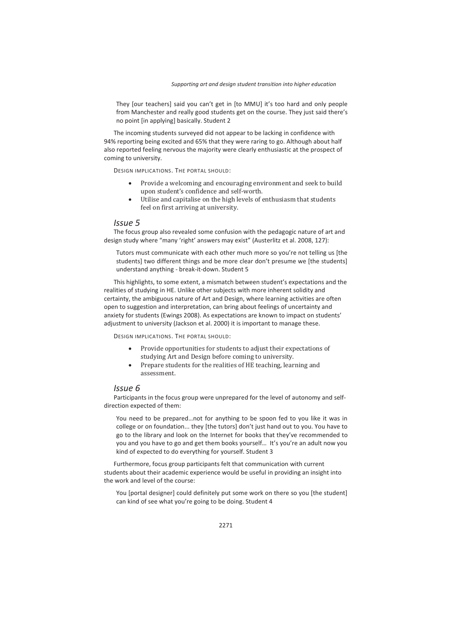They [our teachers] said you can't get in [to MMU] it's too hard and only people from Manchester and really good students get on the course. They just said there's no point [in applying] basically. Student 2

The incoming students surveyed did not appear to be lacking in confidence with 94% reporting being excited and 65% that they were raring to go. Although about half also reported feeling nervous the majority were clearly enthusiastic at the prospect of coming to university.

DESIGN IMPLICATIONS. THE PORTAL SHOULD:

- Provide a welcoming and encouraging environment and seek to build upon student's confidence and self-worth.
- Utilise and capitalise on the high levels of enthusiasm that students feel on first arriving at university.

### *Issue 5*

The focus group also revealed some confusion with the pedagogic nature of art and design study where "many 'right' answers may exist" (Austerlitz et al. 2008, 127):

Tutors must communicate with each other much more so you're not telling us [the students] two different things and be more clear don't presume we [the students] understand anything - break-it-down. Student 5

This highlights, to some extent, a mismatch between student's expectations and the realities of studying in HE. Unlike other subjects with more inherent solidity and certainty, the ambiguous nature of Art and Design, where learning activities are often open to suggestion and interpretation, can bring about feelings of uncertainty and anxiety for students (Ewings 2008). As expectations are known to impact on students' adjustment to university (Jackson et al. 2000) it is important to manage these.

DESIGN IMPLICATIONS. THE PORTAL SHOULD:

- Provide opportunities for students to adjust their expectations of studying Art and Design before coming to university.
- Prepare students for the realities of HE teaching, learning and assessment.

### *Issue 6*

Participants in the focus group were unprepared for the level of autonomy and selfdirection expected of them:

You need to be prepared…not for anything to be spoon fed to you like it was in college or on foundation... they [the tutors] don't just hand out to you. You have to go to the library and look on the Internet for books that they've recommended to you and you have to go and get them books yourself… It's you're an adult now you kind of expected to do everything for yourself. Student 3

Furthermore, focus group participants felt that communication with current students about their academic experience would be useful in providing an insight into the work and level of the course:

You [portal designer] could definitely put some work on there so you [the student] can kind of see what you're going to be doing. Student 4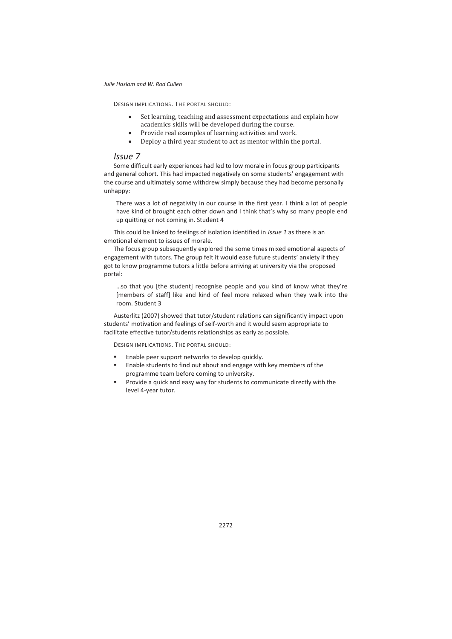DESIGN IMPLICATIONS. THE PORTAL SHOULD:

- $\bullet$  Set learning, teaching and assessment expectations and explain how academics skills will be developed during the course.
- Provide real examples of learning activities and work.
- Deploy a third year student to act as mentor within the portal.

### *Issue 7*

Some difficult early experiences had led to low morale in focus group participants and general cohort. This had impacted negatively on some students' engagement with the course and ultimately some withdrew simply because they had become personally unhappy:

There was a lot of negativity in our course in the first year. I think a lot of people have kind of brought each other down and I think that's why so many people end up quitting or not coming in. Student 4

This could be linked to feelings of isolation identified in *Issue 1* as there is an emotional element to issues of morale.

The focus group subsequently explored the some times mixed emotional aspects of engagement with tutors. The group felt it would ease future students' anxiety if they got to know programme tutors a little before arriving at university via the proposed portal:

…so that you [the student] recognise people and you kind of know what they're [members of staff] like and kind of feel more relaxed when they walk into the room. Student 3

Austerlitz (2007) showed that tutor/student relations can significantly impact upon students' motivation and feelings of self-worth and it would seem appropriate to facilitate effective tutor/students relationships as early as possible.

DESIGN IMPLICATIONS. THE PORTAL SHOULD:

- Enable peer support networks to develop quickly.
- Enable students to find out about and engage with key members of the programme team before coming to university.
- Provide a quick and easy way for students to communicate directly with the level 4-year tutor.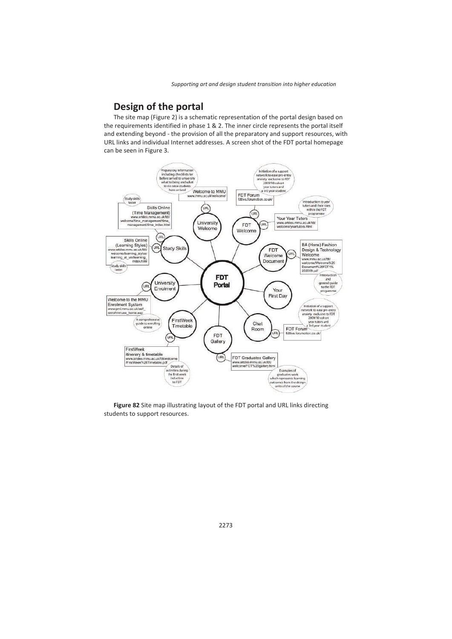# **Design of the portal**

The site map (Figure 2) is a schematic representation of the portal design based on the requirements identified in phase 1 & 2. The inner circle represents the portal itself and extending beyond - the provision of all the preparatory and support resources, with URL links and individual Internet addresses. A screen shot of the FDT portal homepage can be seen in Figure 3.



**Figure 82** Site map illustrating layout of the FDT portal and URL links directing students to support resources.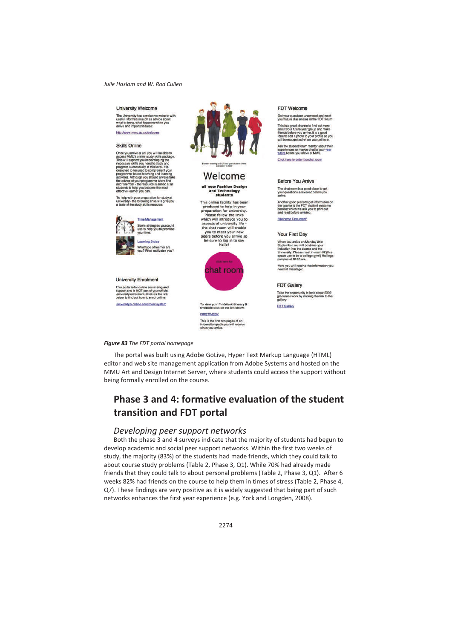#### University Welcome

The University has a welcome website with<br>useful information such as advice about<br>what to bring, what happens when you<br>arrive and important dates:

http://www.mmu.ac.uk/welcome

#### **Skills Online**

Once you arrive at uni you will be able to<br>access MMU's oritive attain yaith gracking model This will support you in developing the<br>measury skills you mead to study and the property proposes accessfully at this level. It i

To help with your preparation for study at<br>university - the following links will give yo<br>a taste of the study skills resource:



**Learning Styles** What type of learner are<br>you? What motivates you?

#### **University Enrolment**

This portal is for online socialising and<br>support and is NOT part of your official<br>University enrolment. Click on the link<br>below to find out how to enrol online: **Liniversity's online enrolment system** 



## Welcome

#### all new Fashion Design and Technology students

This online facility has been produced to help in your preparation for university. Please follow the links which will introduce you to aspects of university life the chat room will enable you to meet your new peers before you arrive so be sure to log in to say<br>hello!



To view your FirstWeek itinerary &<br>timetable click on the link below:

**FIRSTWEEK** This is the first two pages of an<br>information pack you will receive<br>when you arrive.

#### **EDT Welcome**

Get your questions answered and meet<br>your future classmates in the FDT forum

This is a great chance to find out more his is a great chance to find out more<br>bout your future year group and make<br>iends before you arrive. It is a good<br>iea to add a photo to your profile so you<br>ill be recognised when you get here.

Ask the student forum mentor about their Ask the student forum memor about the stream of the stream of the stream of the stream of the stream of the stream of the stream of the stream of the stream of the stream of the stream of the stream of the stream of the st

Click hare to enter the chat room

#### **Before You Arrive**

The chat room is a good place to get<br>your questions answered before you<br>arrive.

Another good place to get information on<br>the course is the FDT student welcome<br>booklet which we ask you to print out<br>and read before arriving.

Welcome Document

#### Your First Day

When you arrive on Monday 21st From you will continue your<br>induction into the course and the<br>induction into the course and the<br>University. Please meet in room 62 (this<br>space use to be a college gym!) Hollings<br>campus at 10:00 am.

Here you will receive the information you need at this stage:

#### **FDT Gallery**

Take the opportunity to look at our 2009<br>graduates work by clicking the link to th<br>gallery:

**FDT Gallery** 

### *Figure 83 The FDT portal homepage*

The portal was built using Adobe GoLive, Hyper Text Markup Language (HTML) editor and web site management application from Adobe Systems and hosted on the MMU Art and Design Internet Server, where students could access the support without being formally enrolled on the course.

# **Phase 3 and 4: formative evaluation of the student transition and FDT portal**

### *Developing peer support networks*

Both the phase 3 and 4 surveys indicate that the majority of students had begun to develop academic and social peer support networks. Within the first two weeks of study, the majority (83%) of the students had made friends, which they could talk to about course study problems (Table 2, Phase 3, Q1). While 70% had already made friends that they could talk to about personal problems (Table 2, Phase 3, Q1). After 6 weeks 82% had friends on the course to help them in times of stress (Table 2, Phase 4, Q7). These findings are very positive as it is widely suggested that being part of such networks enhances the first year experience (e.g. York and Longden, 2008).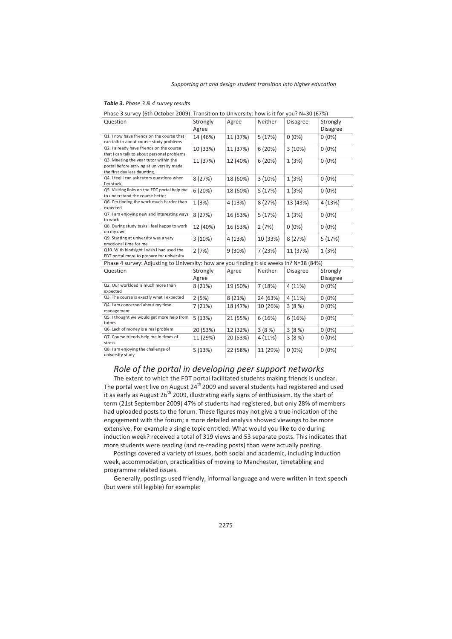### *Table 3. Phase 3 & 4 survey results*

| $\overline{1}$ has 3 survey four October 2003). Hansition to University. How is it for you: N=30 for 70 |          |          |          |                 |                 |  |  |
|---------------------------------------------------------------------------------------------------------|----------|----------|----------|-----------------|-----------------|--|--|
| Question                                                                                                | Strongly | Agree    | Neither  | Disagree        | Strongly        |  |  |
|                                                                                                         | Agree    |          |          |                 | <b>Disagree</b> |  |  |
| Q1. I now have friends on the course that I                                                             | 14 (46%) | 11 (37%) | 5(17%)   | $0(0\%)$        | $0(0\%)$        |  |  |
| can talk to about course study problems                                                                 |          |          |          |                 |                 |  |  |
| Q2. I already have friends on the course                                                                | 10 (33%) | 11 (37%) | 6(20%)   | 3(10%)          | $0(0\%)$        |  |  |
| that I can talk to about personal problems                                                              |          |          |          |                 |                 |  |  |
| Q3. Meeting the year tutor within the                                                                   | 11 (37%) | 12 (40%) | 6(20%)   | 1(3%)           | $0(0\%)$        |  |  |
| portal before arriving at university made                                                               |          |          |          |                 |                 |  |  |
| the first day less daunting.                                                                            |          |          |          |                 |                 |  |  |
| Q4. I feel I can ask tutors questions when                                                              | 8 (27%)  | 18 (60%) | 3(10%)   | 1(3%)           | $0(0\%)$        |  |  |
| I'm stuck                                                                                               |          |          |          |                 |                 |  |  |
| Q5. Visiting links on the FDT portal help me                                                            | 6(20%)   | 18 (60%) | 5(17%)   | 1(3%)           | $0(0\%)$        |  |  |
| to understand the course better                                                                         |          |          |          |                 |                 |  |  |
| Q6. I'm finding the work much harder than                                                               | 1(3%)    | 4(13%)   | 8(27%)   | 13 (43%)        | 4 (13%)         |  |  |
| expected                                                                                                |          |          |          |                 |                 |  |  |
| Q7. I am enjoying new and interesting ways                                                              | 8(27%)   | 16 (53%) | 5(17%)   | 1(3%)           | $0(0\%)$        |  |  |
| to work                                                                                                 |          |          |          |                 |                 |  |  |
| Q8. During study tasks I feel happy to work                                                             | 12 (40%) | 16 (53%) | 2(7%)    | $0(0\%)$        | $0(0\%)$        |  |  |
| on my own                                                                                               |          |          |          |                 |                 |  |  |
| Q9. Starting at university was a very                                                                   | 3(10%)   | 4(13%)   | 10 (33%) | 8(27%)          | 5(17%)          |  |  |
| emotional time for me                                                                                   |          |          |          |                 |                 |  |  |
| Q10. With hindsight I wish I had used the                                                               | 2(7%)    | 9(30%)   | 7(23%)   | 11 (37%)        | 1(3%)           |  |  |
| FDT portal more to prepare for university                                                               |          |          |          |                 |                 |  |  |
| Phase 4 survey: Adjusting to University: how are you finding it six weeks in? N=38 (84%)                |          |          |          |                 |                 |  |  |
| Question                                                                                                | Strongly | Agree    | Neither  | <b>Disagree</b> | Strongly        |  |  |
|                                                                                                         | Agree    |          |          |                 | Disagree        |  |  |
| Q2. Our workload is much more than                                                                      | 8(21%)   | 19 (50%) | 7(18%)   | 4 (11%)         | $0(0\%)$        |  |  |
| expected                                                                                                |          |          |          |                 |                 |  |  |
| Q3. The course is exactly what I expected                                                               | 2(5%)    | 8(21%)   | 24 (63%) | 4(11%)          | $0(0\%)$        |  |  |
| Q4. I am concerned about my time                                                                        | 7(21%)   | 18 (47%) | 10 (26%) | 3(8%)           | $0(0\%)$        |  |  |
| management                                                                                              |          |          |          |                 |                 |  |  |
| Q5. I thought we would get more help from                                                               | 5(13%)   | 21 (55%) | 6(16%)   | 6(16%)          | $0(0\%)$        |  |  |
| tutors                                                                                                  |          |          |          |                 |                 |  |  |
| Q6. Lack of money is a real problem                                                                     | 20 (53%) | 12 (32%) | 3(8%)    | 3(8%)           | $0(0\%)$        |  |  |
| Q7. Course friends help me in times of                                                                  | 11 (29%) | 20 (53%) | 4(11%)   | 3(8%)           | $0(0\%)$        |  |  |
| stress                                                                                                  |          |          |          |                 |                 |  |  |
| Q8. I am enjoying the challenge of                                                                      | 5(13%)   | 22 (58%) | 11 (29%) | $0(0\%)$        | $0(0\%)$        |  |  |
| university study                                                                                        |          |          |          |                 |                 |  |  |

Phase 3 survey (6th October 2009): Transition to University: how is it for you? N=30 (67%)

# *Role of the portal in developing peer support networks*

The extent to which the FDT portal facilitated students making friends is unclear. The portal went live on August  $24<sup>th</sup>$  2009 and several students had registered and used it as early as August  $26<sup>th</sup>$  2009, illustrating early signs of enthusiasm. By the start of term (21st September 2009) 47% of students had registered, but only 28% of members had uploaded posts to the forum. These figures may not give a true indication of the engagement with the forum; a more detailed analysis showed viewings to be more extensive. For example a single topic entitled: What would you like to do during induction week? received a total of 319 views and 53 separate posts. This indicates that more students were reading (and re-reading posts) than were actually posting.

Postings covered a variety of issues, both social and academic, including induction week, accommodation, practicalities of moving to Manchester, timetabling and programme related issues.

Generally, postings used friendly, informal language and were written in text speech (but were still legible) for example: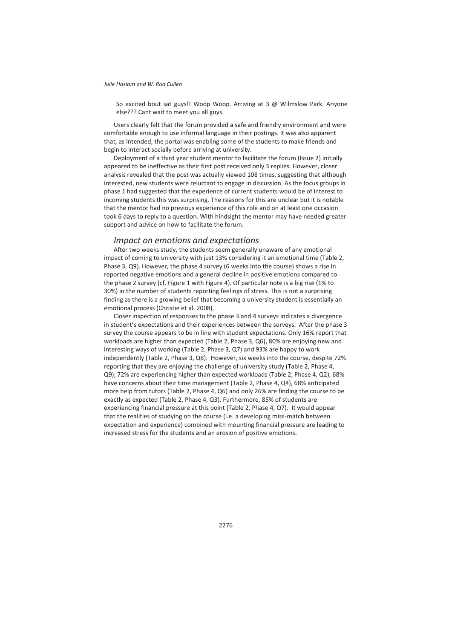So excited bout sat guys!! Woop Woop. Arriving at 3 @ Wilmslow Park. Anyone else??? Cant wait to meet you all guys.

Users clearly felt that the forum provided a safe and friendly environment and were comfortable enough to use informal language in their postings. It was also apparent that, as intended, the portal was enabling some of the students to make friends and begin to interact socially before arriving at university.

Deployment of a third year student mentor to facilitate the forum (Issue 2) initially appeared to be ineffective as their first post received only 3 replies. However, closer analysis revealed that the post was actually viewed 108 times, suggesting that although interested, new students were reluctant to engage in discussion. As the focus groups in phase 1 had suggested that the experience of current students would be of interest to incoming students this was surprising. The reasons for this are unclear but it is notable that the mentor had no previous experience of this role and on at least one occasion took 6 days to reply to a question. With hindsight the mentor may have needed greater support and advice on how to facilitate the forum.

### *Impact on emotions and expectations*

After two weeks study, the students seem generally unaware of any emotional impact of coming to university with just 13% considering it an emotional time (Table 2, Phase 3, Q9). However, the phase 4 survey (6 weeks into the course) shows a rise in reported negative emotions and a general decline in positive emotions compared to the phase 2 survey (cf. Figure 1 with Figure 4). Of particular note is a big rise (1% to 30%) in the number of students reporting feelings of stress. This is not a surprising finding as there is a growing belief that becoming a university student is essentially an emotional process (Christie et al. 2008).

Closer inspection of responses to the phase 3 and 4 surveys indicates a divergence in student's expectations and their experiences between the surveys. After the phase 3 survey the course appears to be in line with student expectations. Only 16% report that workloads are higher than expected (Table 2, Phase 3, Q6), 80% are enjoying new and interesting ways of working (Table 2, Phase 3, Q7) and 93% are happy to work independently (Table 2, Phase 3, Q8). However, six weeks into the course, despite 72% reporting that they are enjoying the challenge of university study (Table 2, Phase 4, Q9), 72% are experiencing higher than expected workloads (Table 2, Phase 4, Q2), 68% have concerns about their time management (Table 2, Phase 4, Q4), 68% anticipated more help from tutors (Table 2, Phase 4, Q6) and only 26% are finding the course to be exactly as expected (Table 2, Phase 4, Q3). Furthermore, 85% of students are experiencing financial pressure at this point (Table 2, Phase 4, Q7). It would appear that the realities of studying on the course (i.e. a developing miss-match between expectation and experience) combined with mounting financial pressure are leading to increased stress for the students and an erosion of positive emotions.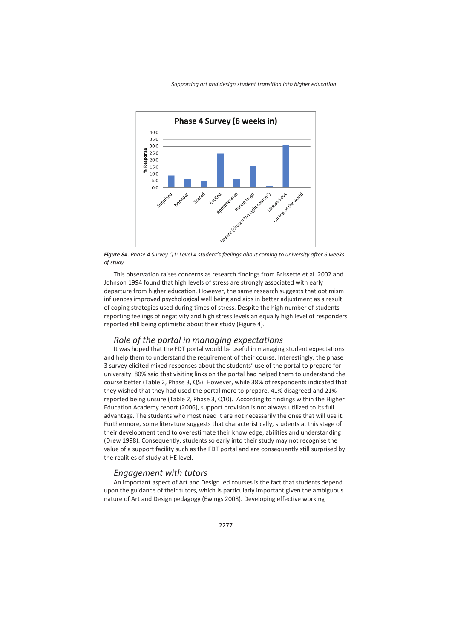

*Figure 84. Phase 4 Survey Q1: Level 4 student's feelings about coming to university after 6 weeks of study* 

This observation raises concerns as research findings from Brissette et al. 2002 and Johnson 1994 found that high levels of stress are strongly associated with early departure from higher education. However, the same research suggests that optimism influences improved psychological well being and aids in better adjustment as a result of coping strategies used during times of stress. Despite the high number of students reporting feelings of negativity and high stress levels an equally high level of responders reported still being optimistic about their study (Figure 4).

### *Role of the portal in managing expectations*

It was hoped that the FDT portal would be useful in managing student expectations and help them to understand the requirement of their course. Interestingly, the phase 3 survey elicited mixed responses about the students' use of the portal to prepare for university. 80% said that visiting links on the portal had helped them to understand the course better (Table 2, Phase 3, Q5). However, while 38% of respondents indicated that they wished that they had used the portal more to prepare, 41% disagreed and 21% reported being unsure (Table 2, Phase 3, Q10). According to findings within the Higher Education Academy report (2006), support provision is not always utilized to its full advantage. The students who most need it are not necessarily the ones that will use it. Furthermore, some literature suggests that characteristically, students at this stage of their development tend to overestimate their knowledge, abilities and understanding (Drew 1998). Consequently, students so early into their study may not recognise the value of a support facility such as the FDT portal and are consequently still surprised by the realities of study at HE level.

### *Engagement with tutors*

An important aspect of Art and Design led courses is the fact that students depend upon the guidance of their tutors, which is particularly important given the ambiguous nature of Art and Design pedagogy (Ewings 2008). Developing effective working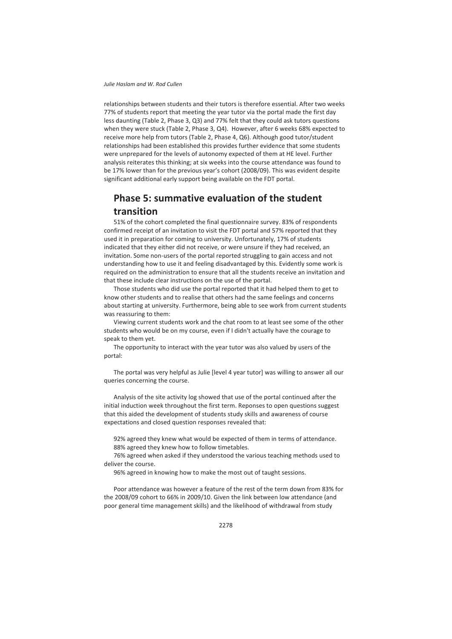relationships between students and their tutors is therefore essential. After two weeks 77% of students report that meeting the year tutor via the portal made the first day less daunting (Table 2, Phase 3, Q3) and 77% felt that they could ask tutors questions when they were stuck (Table 2, Phase 3, Q4). However, after 6 weeks 68% expected to receive more help from tutors (Table 2, Phase 4, Q6). Although good tutor/student relationships had been established this provides further evidence that some students were unprepared for the levels of autonomy expected of them at HE level. Further analysis reiterates this thinking; at six weeks into the course attendance was found to be 17% lower than for the previous year's cohort (2008/09). This was evident despite significant additional early support being available on the FDT portal.

# **Phase 5: summative evaluation of the student transition**

51% of the cohort completed the final questionnaire survey. 83% of respondents confirmed receipt of an invitation to visit the FDT portal and 57% reported that they used it in preparation for coming to university. Unfortunately, 17% of students indicated that they either did not receive, or were unsure if they had received, an invitation. Some non-users of the portal reported struggling to gain access and not understanding how to use it and feeling disadvantaged by this. Evidently some work is required on the administration to ensure that all the students receive an invitation and that these include clear instructions on the use of the portal.

Those students who did use the portal reported that it had helped them to get to know other students and to realise that others had the same feelings and concerns about starting at university. Furthermore, being able to see work from current students was reassuring to them:

Viewing current students work and the chat room to at least see some of the other students who would be on my course, even if I didn't actually have the courage to speak to them yet.

The opportunity to interact with the year tutor was also valued by users of the portal:

The portal was very helpful as Julie [level 4 year tutor] was willing to answer all our queries concerning the course.

Analysis of the site activity log showed that use of the portal continued after the initial induction week throughout the first term. Reponses to open questions suggest that this aided the development of students study skills and awareness of course expectations and closed question responses revealed that:

92% agreed they knew what would be expected of them in terms of attendance. 88% agreed they knew how to follow timetables.

76% agreed when asked if they understood the various teaching methods used to deliver the course.

96% agreed in knowing how to make the most out of taught sessions.

Poor attendance was however a feature of the rest of the term down from 83% for the 2008/09 cohort to 66% in 2009/10. Given the link between low attendance (and poor general time management skills) and the likelihood of withdrawal from study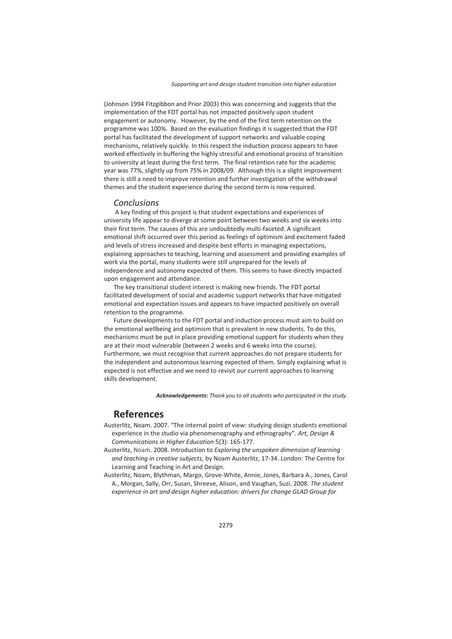(Johnson 1994 Fitzgibbon and Prior 2003) this was concerning and suggests that the implementation of the FDT portal has not impacted positively upon student engagement or autonomy. However, by the end of the first term retention on the programme was 100%. Based on the evaluation findings it is suggested that the FDT portal has facilitated the development of support networks and valuable coping mechanisms, relatively quickly. In this respect the induction process appears to have worked effectively in buffering the highly stressful and emotional process of transition to university at least during the first term. The final retention rate for the academic year was 77%, slightly up from 75% in 2008/09. Although this is a slight improvement there is still a need to improve retention and further investigation of the withdrawal themes and the student experience during the second term is now required.

### *Conclusions*

 A key finding of this project is that student expectations and experiences of university life appear to diverge at some point between two weeks and six weeks into their first term. The causes of this are undoubtedly multi-faceted. A significant emotional shift occurred over this period as feelings of optimism and excitement faded and levels of stress increased and despite best efforts in managing expectations, explaining approaches to teaching, learning and assessment and providing examples of work via the portal, many students were still unprepared for the levels of independence and autonomy expected of them. This seems to have directly impacted upon engagement and attendance.

The key transitional student interest is making new friends. The FDT portal facilitated development of social and academic support networks that have mitigated emotional and expectation issues and appears to have impacted positively on overall retention to the programme.

Future developments to the FDT portal and induction process must aim to build on the emotional wellbeing and optimism that is prevalent in new students. To do this, mechanisms must be put in place providing emotional support for students when they are at their most vulnerable (between 2 weeks and 6 weeks into the course). Furthermore, we must recognise that current approaches do not prepare students for the independent and autonomous learning expected of them. Simply explaining what is expected is not effective and we need to revisit our current approaches to learning skills development.

*Acknowledgements: Thank you to all students who participated in the study.* 

## **References**

- Austerlitz, Noam. 2007. "The internal point of view: studying design students emotional experience in the studio via phenomenography and ethnography". *Art, Design & Communications in Higher Education* 5(3): 165-177.
- Austerlitz, Noam. 2008. Introduction to *Exploring the unspoken dimension of learning and teaching in creative subjects,* by Noam Austerlitz, 17-34. London: The Centre for Learning and Teaching in Art and Design.
- Austerlitz, Noam, Blythman, Margo, Grove-White, Annie, Jones, Barbara A., Jones, Carol A., Morgan, Sally, Orr, Susan, Shreeve, Alison, and Vaughan, Suzi. 2008. *The student experience in art and design higher education: drivers for change GLAD Group for*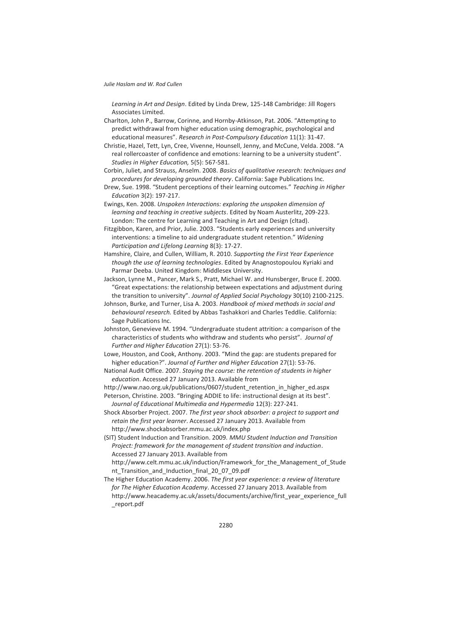*Learning in Art and Design*. Edited by Linda Drew, 125-148 Cambridge: Jill Rogers Associates Limited.

Charlton, John P., Barrow, Corinne, and Hornby-Atkinson, Pat. 2006. "Attempting to predict withdrawal from higher education using demographic, psychological and educational measures". *Research in Post-Compulsory Education* 11(1): 31-47.

Christie, Hazel, Tett, Lyn, Cree, Vivenne, Hounsell, Jenny, and McCune, Velda. 2008. "A real rollercoaster of confidence and emotions: learning to be a university student". *Studies in Higher Education,* 5(5): 567-581.

Corbin, Juliet, and Strauss, Anselm. 2008. *Basics of qualitative research: techniques and procedures for developing grounded theory*. California: Sage Publications Inc.

Drew, Sue. 1998. "Student perceptions of their learning outcomes." *Teaching in Higher Education* 3(2): 197-217.

Ewings, Ken. 2008. *Unspoken Interactions: exploring the unspoken dimension of learning and teaching in creative subjects*. Edited by Noam Austerlitz, 209-223. London: The centre for Learning and Teaching in Art and Design (cltad).

Fitzgibbon, Karen, and Prior, Julie. 2003. "Students early experiences and university interventions: a timeline to aid undergraduate student retention." *Widening Participation and Lifelong Learning* 8(3): 17-27.

Hamshire, Claire, and Cullen, William, R. 2010. *Supporting the First Year Experience though the use of learning technologies*. Edited by Anagnostopoulou Kyriaki and Parmar Deeba. United Kingdom: Middlesex University.

Jackson, Lynne M., Pancer, Mark S., Pratt, Michael W. and Hunsberger, Bruce E. 2000. "Great expectations: the relationship between expectations and adjustment during the transition to university". *Journal of Applied Social Psychology* 30(10) 2100-2125.

Johnson, Burke, and Turner, Lisa A. 2003. *Handbook of mixed methods in social and behavioural research.* Edited by Abbas Tashakkori and Charles Teddlie. California: Sage Publications Inc.

Johnston, Genevieve M. 1994. "Undergraduate student attrition: a comparison of the characteristics of students who withdraw and students who persist". *Journal of Further and Higher Education* 27(1): 53-76.

Lowe, Houston, and Cook, Anthony. 2003. "Mind the gap: are students prepared for higher education?". *Journal of Further and Higher Education* 27(1): 53-76.

National Audit Office. 2007. *Staying the course: the retention of students in higher education*. Accessed 27 January 2013. Available from

http://www.nao.org.uk/publications/0607/student retention in higher ed.aspx

Peterson, Christine. 2003. "Bringing ADDIE to life: instructional design at its best". *Journal of Educational Multimedia and Hypermedia* 12(3): 227-241.

Shock Absorber Project. 2007. *The first year shock absorber: a project to support and retain the first year learner*. Accessed 27 January 2013. Available from http://www.shockabsorber.mmu.ac.uk/index.php

(SIT) Student Induction and Transition. 2009. *MMU Student Induction and Transition Project: framework for the management of student transition and induction*. Accessed 27 January 2013. Available from

http://www.celt.mmu.ac.uk/induction/Framework for the Management of Stude nt Transition and Induction final 20 07 09.pdf

The Higher Education Academy. 2006. *The first year experience: a review of literature for The Higher Education Academy*. Accessed 27 January 2013. Available from http://www.heacademy.ac.uk/assets/documents/archive/first\_year\_experience\_full \_report.pdf